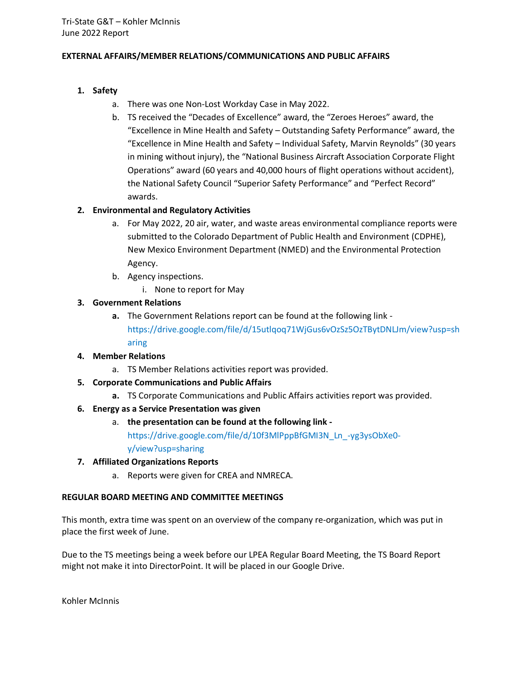## **EXTERNAL AFFAIRS/MEMBER RELATIONS/COMMUNICATIONS AND PUBLIC AFFAIRS**

# **1. Safety**

- a. There was one Non-Lost Workday Case in May 2022.
- b. TS received the "Decades of Excellence" award, the "Zeroes Heroes" award, the "Excellence in Mine Health and Safety – Outstanding Safety Performance" award, the "Excellence in Mine Health and Safety – Individual Safety, Marvin Reynolds" (30 years in mining without injury), the "National Business Aircraft Association Corporate Flight Operations" award (60 years and 40,000 hours of flight operations without accident), the National Safety Council "Superior Safety Performance" and "Perfect Record" awards.

# **2. Environmental and Regulatory Activities**

- a. For May 2022, 20 air, water, and waste areas environmental compliance reports were submitted to the Colorado Department of Public Health and Environment (CDPHE), New Mexico Environment Department (NMED) and the Environmental Protection Agency.
- b. Agency inspections.
	- i. None to report for May

# **3. Government Relations**

**a.** The Government Relations report can be found at the following link https://drive.google.com/file/d/15utlqoq71WjGus6vOzSz5OzTBytDNLJm/view?usp=sh aring

## **4. Member Relations**

- a. TS Member Relations activities report was provided.
- **5. Corporate Communications and Public Affairs**
	- **a.** TS Corporate Communications and Public Affairs activities report was provided.

# **6. Energy as a Service Presentation was given**

a. **the presentation can be found at the following link -**

https://drive.google.com/file/d/10f3MlPppBfGMI3N\_Ln\_-yg3ysObXe0 y/view?usp=sharing

## **7. Affiliated Organizations Reports**

a. Reports were given for CREA and NMRECA.

## **REGULAR BOARD MEETING AND COMMITTEE MEETINGS**

This month, extra time was spent on an overview of the company re-organization, which was put in place the first week of June.

Due to the TS meetings being a week before our LPEA Regular Board Meeting, the TS Board Report might not make it into DirectorPoint. It will be placed in our Google Drive.

Kohler McInnis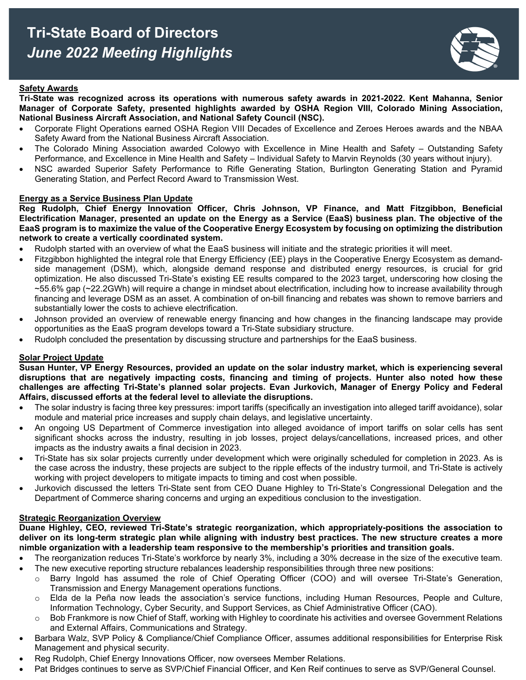

### **Safety Awards**

**Tri-State was recognized across its operations with numerous safety awards in 2021-2022. Kent Mahanna, Senior Manager of Corporate Safety, presented highlights awarded by OSHA Region VIII, Colorado Mining Association, National Business Aircraft Association, and National Safety Council (NSC).**

- Corporate Flight Operations earned OSHA Region VIII Decades of Excellence and Zeroes Heroes awards and the NBAA Safety Award from the National Business Aircraft Association.
- The Colorado Mining Association awarded Colowyo with Excellence in Mine Health and Safety Outstanding Safety Performance, and Excellence in Mine Health and Safety – Individual Safety to Marvin Reynolds (30 years without injury).
- NSC awarded Superior Safety Performance to Rifle Generating Station, Burlington Generating Station and Pyramid Generating Station, and Perfect Record Award to Transmission West.

#### **Energy as a Service Business Plan Update**

**Reg Rudolph, Chief Energy Innovation Officer, Chris Johnson, VP Finance, and Matt Fitzgibbon, Beneficial Electrification Manager, presented an update on the Energy as a Service (EaaS) business plan. The objective of the EaaS program is to maximize the value of the Cooperative Energy Ecosystem by focusing on optimizing the distribution network to create a vertically coordinated system.**

- Rudolph started with an overview of what the EaaS business will initiate and the strategic priorities it will meet.
- Fitzgibbon highlighted the integral role that Energy Efficiency (EE) plays in the Cooperative Energy Ecosystem as demandside management (DSM), which, alongside demand response and distributed energy resources, is crucial for grid optimization. He also discussed Tri-State's existing EE results compared to the 2023 target, underscoring how closing the ~55.6% gap (~22.2GWh) will require a change in mindset about electrification, including how to increase availability through financing and leverage DSM as an asset. A combination of on-bill financing and rebates was shown to remove barriers and substantially lower the costs to achieve electrification.
- Johnson provided an overview of renewable energy financing and how changes in the financing landscape may provide opportunities as the EaaS program develops toward a Tri-State subsidiary structure.
- Rudolph concluded the presentation by discussing structure and partnerships for the EaaS business.

#### **Solar Project Update**

**Susan Hunter, VP Energy Resources, provided an update on the solar industry market, which is experiencing several disruptions that are negatively impacting costs, financing and timing of projects. Hunter also noted how these challenges are affecting Tri-State's planned solar projects. Evan Jurkovich, Manager of Energy Policy and Federal Affairs, discussed efforts at the federal level to alleviate the disruptions.** 

- The solar industry is facing three key pressures: import tariffs (specifically an investigation into alleged tariff avoidance), solar module and material price increases and supply chain delays, and legislative uncertainty.
- An ongoing US Department of Commerce investigation into alleged avoidance of import tariffs on solar cells has sent significant shocks across the industry, resulting in job losses, project delays/cancellations, increased prices, and other impacts as the industry awaits a final decision in 2023.
- Tri-State has six solar projects currently under development which were originally scheduled for completion in 2023. As is the case across the industry, these projects are subject to the ripple effects of the industry turmoil, and Tri-State is actively working with project developers to mitigate impacts to timing and cost when possible.
- Jurkovich discussed the letters Tri-State sent from CEO Duane Highley to Tri-State's Congressional Delegation and the Department of Commerce sharing concerns and urging an expeditious conclusion to the investigation.

#### **Strategic Reorganization Overview**

**Duane Highley, CEO, reviewed Tri-State's strategic reorganization, which appropriately-positions the association to deliver on its long-term strategic plan while aligning with industry best practices. The new structure creates a more nimble organization with a leadership team responsive to the membership's priorities and transition goals.**

- The reorganization reduces Tri-State's workforce by nearly 3%, including a 30% decrease in the size of the executive team.
- The new executive reporting structure rebalances leadership responsibilities through three new positions:
	- o Barry Ingold has assumed the role of Chief Operating Officer (COO) and will oversee Tri-State's Generation, Transmission and Energy Management operations functions.
	- $\circ$  Elda de la Peña now leads the association's service functions, including Human Resources, People and Culture, Information Technology, Cyber Security, and Support Services, as Chief Administrative Officer (CAO).
	- Bob Frankmore is now Chief of Staff, working with Highley to coordinate his activities and oversee Government Relations and External Affairs, Communications and Strategy.
- Barbara Walz, SVP Policy & Compliance/Chief Compliance Officer, assumes additional responsibilities for Enterprise Risk Management and physical security.
- Reg Rudolph, Chief Energy Innovations Officer, now oversees Member Relations.
- Pat Bridges continues to serve as SVP/Chief Financial Officer, and Ken Reif continues to serve as SVP/General Counsel.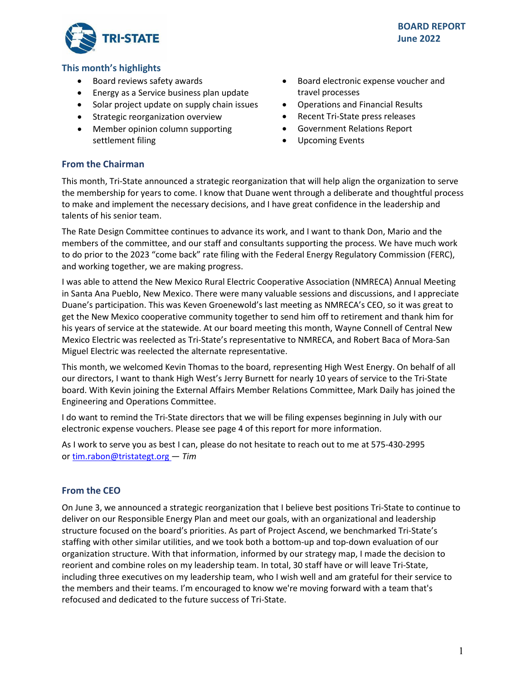

# **This month's highlights**

- Board reviews safety awards
- Energy as a Service business plan update
- Solar project update on supply chain issues
- Strategic reorganization overview
- Member opinion column supporting settlement filing
- Board electronic expense voucher and travel processes
- Operations and Financial Results
- Recent Tri-State press releases
- Government Relations Report
- Upcoming Events

### **From the Chairman**

This month, Tri-State announced a strategic reorganization that will help align the organization to serve the membership for years to come. I know that Duane went through a deliberate and thoughtful process to make and implement the necessary decisions, and I have great confidence in the leadership and talents of his senior team.

The Rate Design Committee continues to advance its work, and I want to thank Don, Mario and the members of the committee, and our staff and consultants supporting the process. We have much work to do prior to the 2023 "come back" rate filing with the Federal Energy Regulatory Commission (FERC), and working together, we are making progress.

I was able to attend the New Mexico Rural Electric Cooperative Association (NMRECA) Annual Meeting in Santa Ana Pueblo, New Mexico. There were many valuable sessions and discussions, and I appreciate Duane's participation. This was Keven Groenewold's last meeting as NMRECA's CEO, so it was great to get the New Mexico cooperative community together to send him off to retirement and thank him for his years of service at the statewide. At our board meeting this month, Wayne Connell of Central New Mexico Electric was reelected as Tri-State's representative to NMRECA, and Robert Baca of Mora-San Miguel Electric was reelected the alternate representative.

This month, we welcomed Kevin Thomas to the board, representing High West Energy. On behalf of all our directors, I want to thank High West's Jerry Burnett for nearly 10 years of service to the Tri-State board. With Kevin joining the External Affairs Member Relations Committee, Mark Daily has joined the Engineering and Operations Committee.

I do want to remind the Tri-State directors that we will be filing expenses beginning in July with our electronic expense vouchers. Please see page 4 of this report for more information.

As I work to serve you as best I can, please do not hesitate to reach out to me at 575-430-2995 or [tim.rabon@tristategt.org](mailto:tim.rabon@tristategt.org) — *Tim*

## **From the CEO**

On June 3, we announced a strategic reorganization that I believe best positions Tri-State to continue to deliver on our Responsible Energy Plan and meet our goals, with an organizational and leadership structure focused on the board's priorities. As part of Project Ascend, we benchmarked Tri-State's staffing with other similar utilities, and we took both a bottom-up and top-down evaluation of our organization structure. With that information, informed by our strategy map, I made the decision to reorient and combine roles on my leadership team. In total, 30 staff have or will leave Tri-State, including three executives on my leadership team, who I wish well and am grateful for their service to the members and their teams. I'm encouraged to know we're moving forward with a team that's refocused and dedicated to the future success of Tri-State.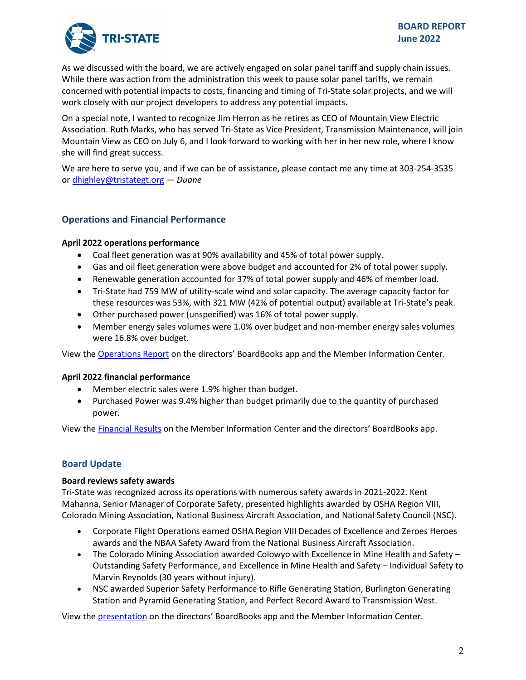

As we discussed with the board, we are actively engaged on solar panel tariff and supply chain issues. While there was action from the administration this week to pause solar panel tariffs, we remain concerned with potential impacts to costs, financing and timing of Tri-State solar projects, and we will work closely with our project developers to address any potential impacts.

On a special note, I wanted to recognize Jim Herron as he retires as CEO of Mountain View Electric Association. Ruth Marks, who has served Tri-State as Vice President, Transmission Maintenance, will join Mountain View as CEO on July 6, and I look forward to working with her in her new role, where I know she will find great success.

We are here to serve you, and if we can be of assistance, please contact me any time at 303-254-3535 or [dhighley@tristategt.org](mailto:dhighley@tristategt.org) — *Duane*

# **Operations and Financial Performance**

### **April 2022 operations performance**

- Coal fleet generation was at 90% availability and 45% of total power supply.
- Gas and oil fleet generation were above budget and accounted for 2% of total power supply.
- Renewable generation accounted for 37% of total power supply and 46% of member load.
- Tri-State had 759 MW of utility-scale wind and solar capacity. The average capacity factor for these resources was 53%, with 321 MW (42% of potential output) available at Tri-State's peak.
- Other purchased power (unspecified) was 16% of total power supply.
- Member energy sales volumes were 1.0% over budget and non-member energy sales volumes were 16.8% over budget.

View the [Operations Report](https://mic.tristategt.org/Member%20Managers/2022-06-BOD-EO%20-%20Operations%20Report.pdf) on the directors' BoardBooks app and the Member [Information Center.](https://mic.tristategt.org/Member%20Managers/2020-08-BOD%20-%20Operations%20Report.pdf)

#### **April 2022 financial performance**

- Member electric sales were 1.9% higher than budget.
- Purchased Power was 9.4% higher than budget primarily due to the quantity of purchased power.

View the [Financial Results](https://mic.tristategt.org/Member%20Managers/2022-06-BOD-FIN%20-%20Financial%20Results.pdf) on the Membe[r](https://mic.tristategt.org/Member%20Managers/2020-08-BOD%20-%20Operations%20Report.pdf) Information Center and the directors' BoardBooks app.

## **Board Update**

#### **Board reviews safety awards**

Tri-State was recognized across its operations with numerous safety awards in 2021-2022. Kent Mahanna, Senior Manager of Corporate Safety, presented highlights awarded by OSHA Region VIII, Colorado Mining Association, National Business Aircraft Association, and National Safety Council (NSC).

- Corporate Flight Operations earned OSHA Region VIII Decades of Excellence and Zeroes Heroes awards and the NBAA Safety Award from the National Business Aircraft Association.
- The Colorado Mining Association awarded Colowyo with Excellence in Mine Health and Safety Outstanding Safety Performance, and Excellence in Mine Health and Safety – Individual Safety to Marvin Reynolds (30 years without injury).
- NSC awarded Superior Safety Performance to Rifle Generating Station, Burlington Generating Station and Pyramid Generating Station, and Perfect Record Award to Transmission West.

View the [presentation](https://mic.tristategt.org/Member%20Managers/2022-06-BOD%20-%20Safety%20Awards.pdf) on the directors' BoardBooks app and the Member Information Center.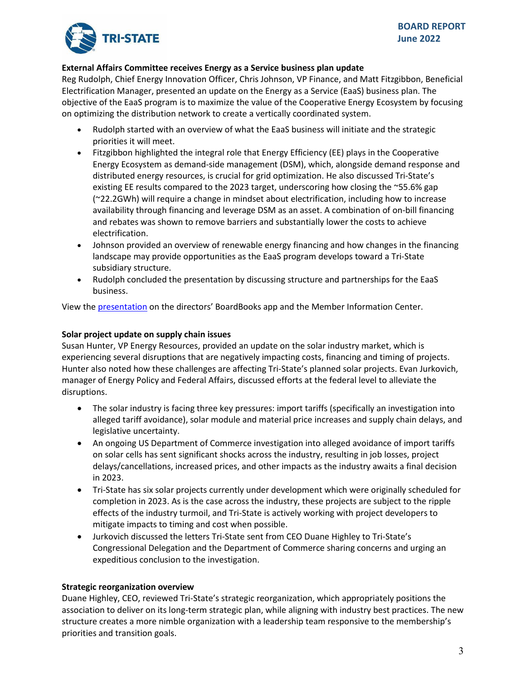

# **External Affairs Committee receives Energy as a Service business plan update**

Reg Rudolph, Chief Energy Innovation Officer, Chris Johnson, VP Finance, and Matt Fitzgibbon, Beneficial Electrification Manager, presented an update on the Energy as a Service (EaaS) business plan. The objective of the EaaS program is to maximize the value of the Cooperative Energy Ecosystem by focusing on optimizing the distribution network to create a vertically coordinated system.

- Rudolph started with an overview of what the EaaS business will initiate and the strategic priorities it will meet.
- Fitzgibbon highlighted the integral role that Energy Efficiency (EE) plays in the Cooperative Energy Ecosystem as demand-side management (DSM), which, alongside demand response and distributed energy resources, is crucial for grid optimization. He also discussed Tri-State's existing EE results compared to the 2023 target, underscoring how closing the ~55.6% gap (~22.2GWh) will require a change in mindset about electrification, including how to increase availability through financing and leverage DSM as an asset. A combination of on-bill financing and rebates was shown to remove barriers and substantially lower the costs to achieve electrification.
- Johnson provided an overview of renewable energy financing and how changes in the financing landscape may provide opportunities as the EaaS program develops toward a Tri-State subsidiary structure.
- Rudolph concluded the presentation by discussing structure and partnerships for the EaaS business.

View the [presentation](https://mic.tristategt.org/Member%20Managers/2022-06-EA%20-%20Energy%20as%20a%20Service%20Update.pdf) on the directors' BoardBooks app and the Member Information Center.

# **Solar project update on supply chain issues**

Susan Hunter, VP Energy Resources, provided an update on the solar industry market, which is experiencing several disruptions that are negatively impacting costs, financing and timing of projects. Hunter also noted how these challenges are affecting Tri-State's planned solar projects. Evan Jurkovich, manager of Energy Policy and Federal Affairs, discussed efforts at the federal level to alleviate the disruptions.

- The solar industry is facing three key pressures: import tariffs (specifically an investigation into alleged tariff avoidance), solar module and material price increases and supply chain delays, and legislative uncertainty.
- An ongoing US Department of Commerce investigation into alleged avoidance of import tariffs on solar cells has sent significant shocks across the industry, resulting in job losses, project delays/cancellations, increased prices, and other impacts as the industry awaits a final decision in 2023.
- Tri-State has six solar projects currently under development which were originally scheduled for completion in 2023. As is the case across the industry, these projects are subject to the ripple effects of the industry turmoil, and Tri-State is actively working with project developers to mitigate impacts to timing and cost when possible.
- Jurkovich discussed the letters Tri-State sent from CEO Duane Highley to Tri-State's Congressional Delegation and the Department of Commerce sharing concerns and urging an expeditious conclusion to the investigation.

## **Strategic reorganization overview**

Duane Highley, CEO, reviewed Tri-State's strategic reorganization, which appropriately positions the association to deliver on its long-term strategic plan, while aligning with industry best practices. The new structure creates a more nimble organization with a leadership team responsive to the membership's priorities and transition goals.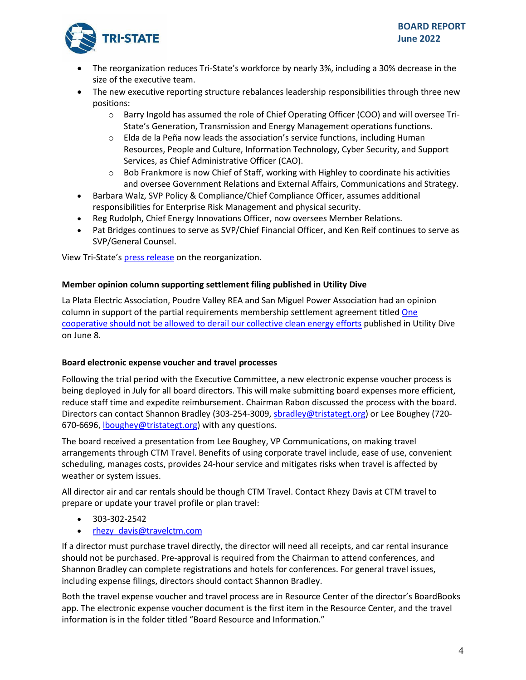

- The reorganization reduces Tri-State's workforce by nearly 3%, including a 30% decrease in the size of the executive team.
- The new executive reporting structure rebalances leadership responsibilities through three new positions:
	- $\circ$  Barry Ingold has assumed the role of Chief Operating Officer (COO) and will oversee Tri-State's Generation, Transmission and Energy Management operations functions.
	- $\circ$  Elda de la Peña now leads the association's service functions, including Human Resources, People and Culture, Information Technology, Cyber Security, and Support Services, as Chief Administrative Officer (CAO).
	- o Bob Frankmore is now Chief of Staff, working with Highley to coordinate his activities and oversee Government Relations and External Affairs, Communications and Strategy.
- Barbara Walz, SVP Policy & Compliance/Chief Compliance Officer, assumes additional responsibilities for Enterprise Risk Management and physical security.
- Reg Rudolph, Chief Energy Innovations Officer, now oversees Member Relations.
- Pat Bridges continues to serve as SVP/Chief Financial Officer, and Ken Reif continues to serve as SVP/General Counsel.

View Tri-State's [press release](https://www.tristate.coop/tri-state-generation-and-transmission-association-announces-strategic-reorganization) on the reorganization.

# **Member opinion column supporting settlement filing published in Utility Dive**

La Plata Electric Association, Poudre Valley REA and San Miguel Power Association had an opinion column in support of the partial requirements membership settlement agreement title[d One](https://www.utilitydive.com/news/clean-energy-tri-state-la-plata-poudre-valley-san-miguel-power-association/625084/)  [cooperative should not be allowed to derail our collective clean energy efforts](https://www.utilitydive.com/news/clean-energy-tri-state-la-plata-poudre-valley-san-miguel-power-association/625084/) published in Utility Dive on June 8.

## **Board electronic expense voucher and travel processes**

Following the trial period with the Executive Committee, a new electronic expense voucher process is being deployed in July for all board directors. This will make submitting board expenses more efficient, reduce staff time and expedite reimbursement. Chairman Rabon discussed the process with the board. Directors can contact Shannon Bradley (303-254-3009[, sbradley@tristategt.org\)](mailto:sbradley@tristategt.org) or Lee Boughey (720- 670-6696[, lboughey@tristategt.org\)](mailto:lboughey@tristategt.org) with any questions.

The board received a presentation from Lee Boughey, VP Communications, on making travel arrangements through CTM Travel. Benefits of using corporate travel include, ease of use, convenient scheduling, manages costs, provides 24-hour service and mitigates risks when travel is affected by weather or system issues.

All director air and car rentals should be though CTM Travel. Contact Rhezy Davis at CTM travel to prepare or update your travel profile or plan travel:

- 303-302-2542
- rhezy davis@travelctm.com

If a director must purchase travel directly, the director will need all receipts, and car rental insurance should not be purchased. Pre-approval is required from the Chairman to attend conferences, and Shannon Bradley can complete registrations and hotels for conferences. For general travel issues, including expense filings, directors should contact Shannon Bradley.

Both the travel expense voucher and travel process are in Resource Center of the director's BoardBooks app. The electronic expense voucher document is the first item in the Resource Center, and the travel information is in the folder titled "Board Resource and Information."